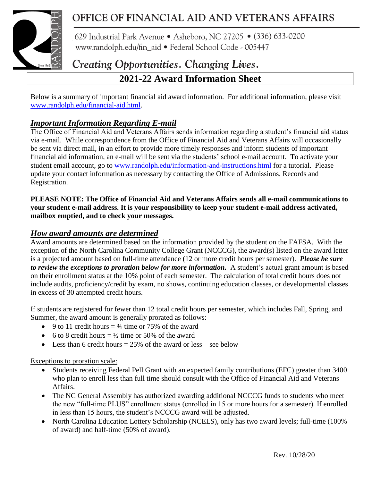

## OFFICE OF FINANCIAL AID AND VETERANS AFFAIRS

629 Industrial Park Avenue • Asheboro, NC 27205 • (336) 633-0200 www.randolph.edu/fin\_aid · Federal School Code - 005447

# Creating Opportunities. Changing Lives.

### **2021-22 Award Information Sheet**

Below is a summary of important financial aid award information. For additional information, please visit [www.randolph.edu/financial-aid.html.](http://www.randolph.edu/financial-aid.html)

### *Important Information Regarding E-mail*

The Office of Financial Aid and Veterans Affairs sends information regarding a student's financial aid status via e-mail. While correspondence from the Office of Financial Aid and Veterans Affairs will occasionally be sent via direct mail, in an effort to provide more timely responses and inform students of important financial aid information, an e-mail will be sent via the students' school e-mail account. To activate your student email account, go to [www.randolph.edu/information-and-instructions.html](http://www.randolph.edu/information-and-instructions.html) for a tutorial. Please update your contact information as necessary by contacting the Office of Admissions, Records and Registration.

**PLEASE NOTE: The Office of Financial Aid and Veterans Affairs sends all e-mail communications to your student e-mail address. It is your responsibility to keep your student e-mail address activated, mailbox emptied, and to check your messages.**

#### *How award amounts are determined*

Award amounts are determined based on the information provided by the student on the FAFSA. With the exception of the North Carolina Community College Grant (NCCCG), the award(s) listed on the award letter is a projected amount based on full-time attendance (12 or more credit hours per semester). *Please be sure to review the exceptions to proration below for more information.* A student's actual grant amount is based on their enrollment status at the 10% point of each semester. The calculation of total credit hours does not include audits, proficiency/credit by exam, no shows, continuing education classes, or developmental classes in excess of 30 attempted credit hours.

If students are registered for fewer than 12 total credit hours per semester, which includes Fall, Spring, and Summer, the award amount is generally prorated as follows:

- 9 to 11 credit hours  $=$   $\frac{3}{4}$  time or 75% of the award
- 6 to 8 credit hours  $= \frac{1}{2}$  time or 50% of the award
- Less than 6 credit hours  $= 25\%$  of the award or less—see below

#### Exceptions to proration scale:

- Students receiving Federal Pell Grant with an expected family contributions (EFC) greater than 3400 who plan to enroll less than full time should consult with the Office of Financial Aid and Veterans Affairs.
- The NC General Assembly has authorized awarding additional NCCCG funds to students who meet the new "full-time PLUS" enrollment status (enrolled in 15 or more hours for a semester). If enrolled in less than 15 hours, the student's NCCCG award will be adjusted.
- North Carolina Education Lottery Scholarship (NCELS), only has two award levels; full-time (100% of award) and half-time (50% of award).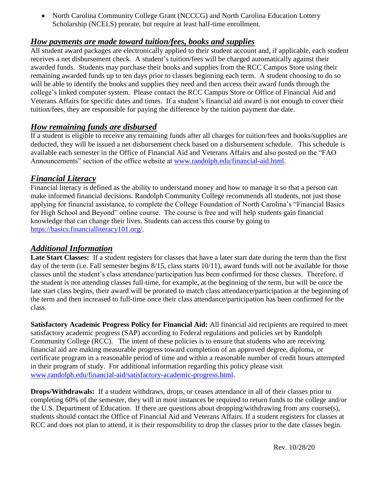• North Carolina Community College Grant (NCCCG) and North Carolina Education Lottery Scholarship (NCELS) prorate, but require at least half-time enrollment.

#### *How payments are made toward tuition/fees, books and supplies*

All student award packages are electronically applied to their student account and, if applicable, each student receives a net disbursement check. A student's tuition/fees will be charged automatically against their awarded funds. Students may purchase their books and supplies from the RCC Campus Store using their remaining awarded funds up to ten days prior to classes beginning each term. A student choosing to do so will be able to identify the books and supplies they need and then access their award funds through the college's linked computer system. Please contact the RCC Campus Store or Office of Financial Aid and Veterans Affairs for specific dates and times. If a student's financial aid award is not enough to cover their tuition/fees, they are responsible for paying the difference by the tuition payment due date.

#### *How remaining funds are disbursed*

If a student is eligible to receive any remaining funds after all charges for tuition/fees and books/supplies are deducted, they will be issued a net disbursement check based on a disbursement schedule. This schedule is available each semester in the Office of Financial Aid and Veterans Affairs and also posted on the "FAO Announcements" section of the office website at [www.randolph.edu/financial-aid.html.](http://www.randolph.edu/financial-aid.html)

#### *Financial Literacy*

Financial literacy is defined as the ability to understand money and how to manage it so that a person can make informed financial decisions. Randolph Community College recommends all students, not just those applying for financial assistance, to complete the College Foundation of North Carolina's "Financial Basics for High School and Beyond" online course. The course is free and will help students gain financial knowledge that can change their lives. Students can access this course by going to [https://basics.financialliteracy101.org/.](https://basics.financialliteracy101.org/)

#### *Additional Information*

**Late Start Classes:** If a student registers for classes that have a later start date during the term than the first day of the term (i.e. Fall semester begins 8/15, class starts 10/11), award funds will not be available for those classes until the student's class attendance/participation has been confirmed for those classes. Therefore, if the student is not attending classes full-time, for example, at the beginning of the term, but will be once the late start class begins, their award will be prorated to match class attendance/participation at the beginning of the term and then increased to full-time once their class attendance/participation has been confirmed for the class.

**Satisfactory Academic Progress Policy for Financial Aid:** All financial aid recipients are required to meet satisfactory academic progress (SAP) according to Federal regulations and policies set by Randolph Community College (RCC). The intent of these policies is to ensure that students who are receiving financial aid are making measurable progress toward completion of an approved degree, diploma, or certificate program in a reasonable period of time and within a reasonable number of credit hours attempted in their program of study. For additional information regarding this policy please visit [www.randolph.edu/financial-aid/satisfactory-academic-progress.html.](http://www.randolph.edu/financial-aid/satisfactory-academic-progress.html)

**Drops/Withdrawals:** If a student withdraws, drops, or ceases attendance in all of their classes prior to completing 60% of the semester, they will in most instances be required to return funds to the college and/or the U.S. Department of Education. If there are questions about dropping/withdrawing from any course(s), students should contact the Office of Financial Aid and Veterans Affairs. If a student registers for classes at RCC and does not plan to attend, it is their responsibility to drop the classes prior to the date classes begin.